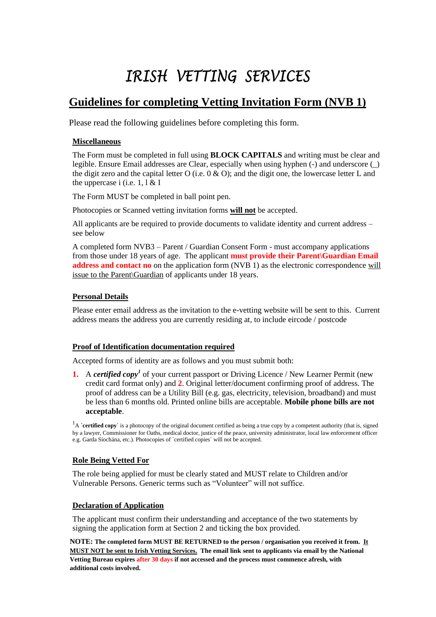# IRISH VETTING SERVICES

## **Guidelines for completing Vetting Invitation Form (NVB 1)**

Please read the following guidelines before completing this form.

#### **Miscellaneous**

The Form must be completed in full using **BLOCK CAPITALS** and writing must be clear and legible. Ensure Email addresses are Clear, especially when using hyphen (-) and underscore (\_) the digit zero and the capital letter O (i.e.  $0 \& O$ ); and the digit one, the lowercase letter L and the uppercase i (i.e.  $1, 1 \& 1$ 

The Form MUST be completed in ball point pen.

Photocopies or Scanned vetting invitation forms **will not** be accepted.

All applicants are be required to provide documents to validate identity and current address – see below

A completed form NVB3 – Parent / Guardian Consent Form - must accompany applications from those under 18 years of age. The applicant **must provide their Parent\Guardian Email address and contact no** on the application form (NVB 1) as the electronic correspondence will issue to the Parent\Guardian of applicants under 18 years.

#### **Personal Details**

Please enter email address as the invitation to the e-vetting website will be sent to this. Current address means the address you are currently residing at, to include eircode / postcode

#### **Proof of Identification documentation required**

Accepted forms of identity are as follows and you must submit both:

**1.** A *certified copy<sup>1</sup>* of your current passport or Driving Licence / New Learner Permit (new credit card format only) and **2**. Original letter/document confirming proof of address. The proof of address can be a Utility Bill (e.g. gas, electricity, television, broadband) and must be less than 6 months old. Printed online bills are acceptable. **Mobile phone bills are not acceptable**.

<sup>1</sup>A **`certified copy**` is a photocopy of the original document certified as being a true copy by a competent authority (that is, signed by a lawyer, Commissioner for Oaths, medical doctor, justice of the peace, university administrator, local law enforcement officer e.g. Garda Síochána, etc.). Photocopies of `certified copies` will not be accepted.

#### **Role Being Vetted For**

The role being applied for must be clearly stated and MUST relate to Children and/or Vulnerable Persons. Generic terms such as "Volunteer" will not suffice.

#### **Declaration of Application**

The applicant must confirm their understanding and acceptance of the two statements by signing the application form at Section 2 and ticking the box provided.

**NOTE: The completed form MUST BE RETURNED to the person / organisation you received it from. It MUST NOT be sent to Irish Vetting Services. The email link sent to applicants via email by the National Vetting Bureau expires after 30 days if not accessed and the process must commence afresh, with additional costs involved.**